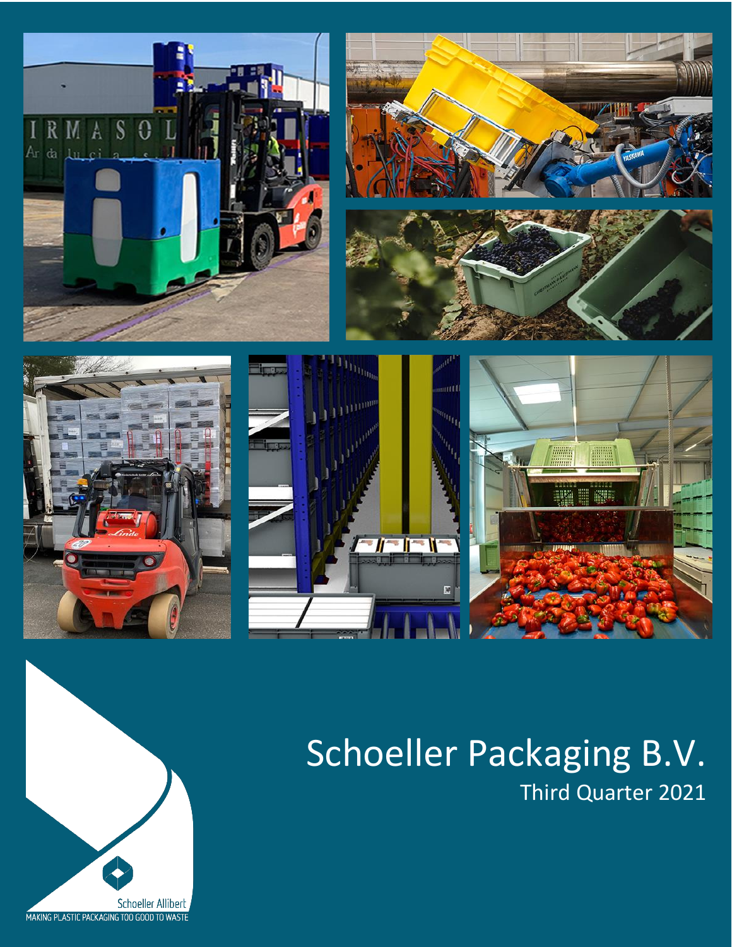

# Schoeller Packaging B.V. Third Quarter 2021

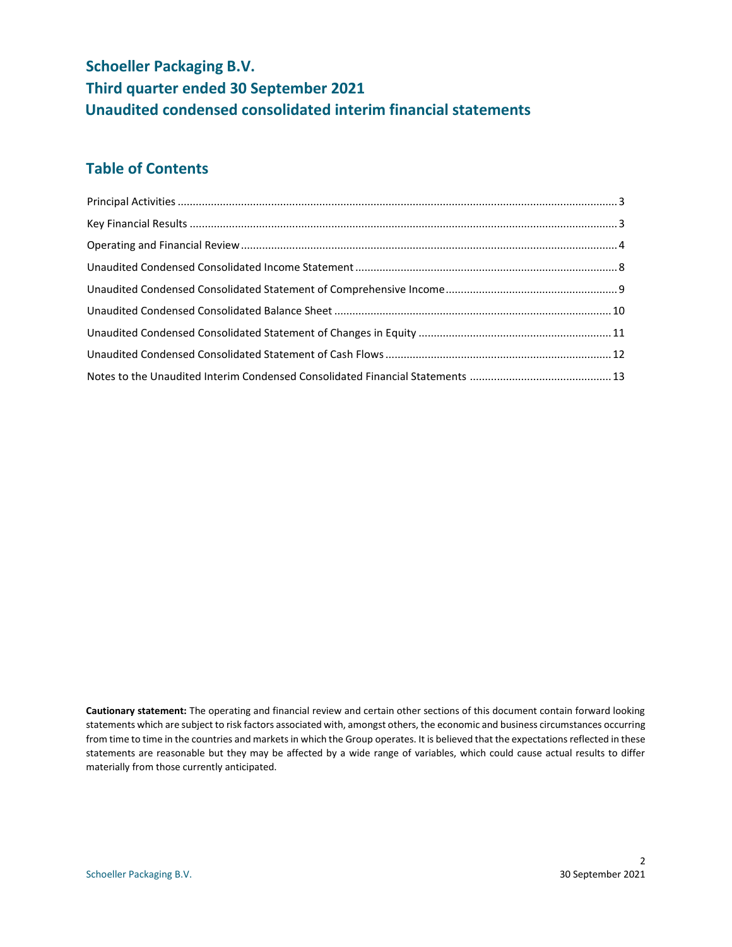# **Schoeller Packaging B.V. Third quarter ended 30 September 2021 Unaudited condensed consolidated interim financial statements**

# **Table of Contents**

**Cautionary statement:** The operating and financial review and certain other sections of this document contain forward looking statements which are subject to risk factors associated with, amongst others, the economic and business circumstances occurring from time to time in the countries and markets in which the Group operates. It is believed that the expectations reflected in these statements are reasonable but they may be affected by a wide range of variables, which could cause actual results to differ materially from those currently anticipated.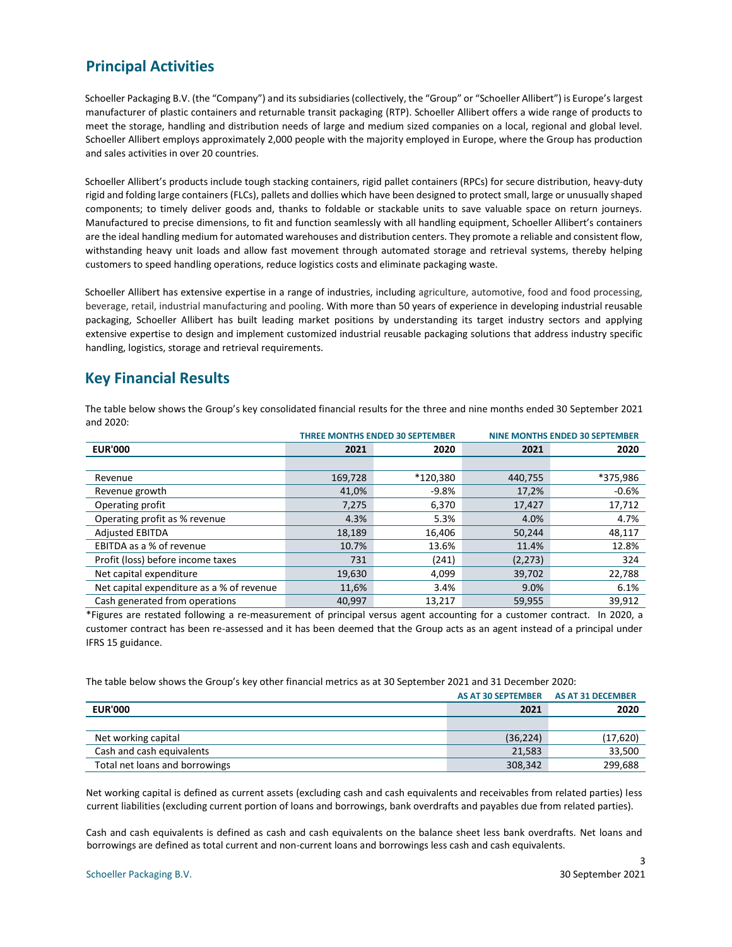### <span id="page-2-0"></span>**Principal Activities**

Schoeller Packaging B.V. (the "Company") and its subsidiaries (collectively, the "Group" or "Schoeller Allibert") is Europe's largest manufacturer of plastic containers and returnable transit packaging (RTP). Schoeller Allibert offers a wide range of products to meet the storage, handling and distribution needs of large and medium sized companies on a local, regional and global level. Schoeller Allibert employs approximately 2,000 people with the majority employed in Europe, where the Group has production and sales activities in over 20 countries.

Schoeller Allibert's products include tough stacking containers, rigid pallet containers (RPCs) for secure distribution, heavy-duty rigid and folding large containers (FLCs), pallets and dollies which have been designed to protect small, large or unusually shaped components; to timely deliver goods and, thanks to foldable or stackable units to save valuable space on return journeys. Manufactured to precise dimensions, to fit and function seamlessly with all handling equipment, Schoeller Allibert's containers are the ideal handling medium for automated warehouses and distribution centers. They promote a reliable and consistent flow, withstanding heavy unit loads and allow fast movement through automated storage and retrieval systems, thereby helping customers to speed handling operations, reduce logistics costs and eliminate packaging waste.

Schoeller Allibert has extensive expertise in a range of industries, including agriculture, automotive, food and food processing, beverage, retail, industrial manufacturing and pooling. With more than 50 years of experience in developing industrial reusable packaging, Schoeller Allibert has built leading market positions by understanding its target industry sectors and applying extensive expertise to design and implement customized industrial reusable packaging solutions that address industry specific handling, logistics, storage and retrieval requirements.

### <span id="page-2-1"></span>**Key Financial Results**

The table below shows the Group's key consolidated financial results for the three and nine months ended 30 September 2021 and 2020:

|                                           |         | <b>THREE MONTHS ENDED 30 SEPTEMBER</b> |          | <b>NINE MONTHS ENDED 30 SEPTEMBER</b> |
|-------------------------------------------|---------|----------------------------------------|----------|---------------------------------------|
| <b>EUR'000</b>                            | 2021    | 2020                                   | 2021     | 2020                                  |
|                                           |         |                                        |          |                                       |
| Revenue                                   | 169,728 | *120,380                               | 440,755  | *375,986                              |
| Revenue growth                            | 41,0%   | $-9.8%$                                | 17,2%    | $-0.6%$                               |
| Operating profit                          | 7,275   | 6,370                                  | 17,427   | 17,712                                |
| Operating profit as % revenue             | 4.3%    | 5.3%                                   | 4.0%     | 4.7%                                  |
| <b>Adjusted EBITDA</b>                    | 18,189  | 16,406                                 | 50,244   | 48,117                                |
| EBITDA as a % of revenue                  | 10.7%   | 13.6%                                  | 11.4%    | 12.8%                                 |
| Profit (loss) before income taxes         | 731     | (241)                                  | (2, 273) | 324                                   |
| Net capital expenditure                   | 19,630  | 4,099                                  | 39,702   | 22,788                                |
| Net capital expenditure as a % of revenue | 11,6%   | 3.4%                                   | 9.0%     | 6.1%                                  |
| Cash generated from operations            | 40.997  | 13,217                                 | 59,955   | 39,912                                |

\*Figures are restated following a re-measurement of principal versus agent accounting for a customer contract. In 2020, a customer contract has been re-assessed and it has been deemed that the Group acts as an agent instead of a principal under IFRS 15 guidance.

The table below shows the Group's key other financial metrics as at 30 September 2021 and 31 December 2020:

|                                | AS AT 30 SEPTEMBER AS AT 31 DECEMBER |          |
|--------------------------------|--------------------------------------|----------|
| <b>EUR'000</b>                 | 2021                                 | 2020     |
|                                |                                      |          |
| Net working capital            | (36, 224)                            | (17,620) |
| Cash and cash equivalents      | 21.583                               | 33,500   |
| Total net loans and borrowings | 308,342                              | 299.688  |

Net working capital is defined as current assets (excluding cash and cash equivalents and receivables from related parties) less current liabilities (excluding current portion of loans and borrowings, bank overdrafts and payables due from related parties).

Cash and cash equivalents is defined as cash and cash equivalents on the balance sheet less bank overdrafts. Net loans and borrowings are defined as total current and non-current loans and borrowings less cash and cash equivalents.

3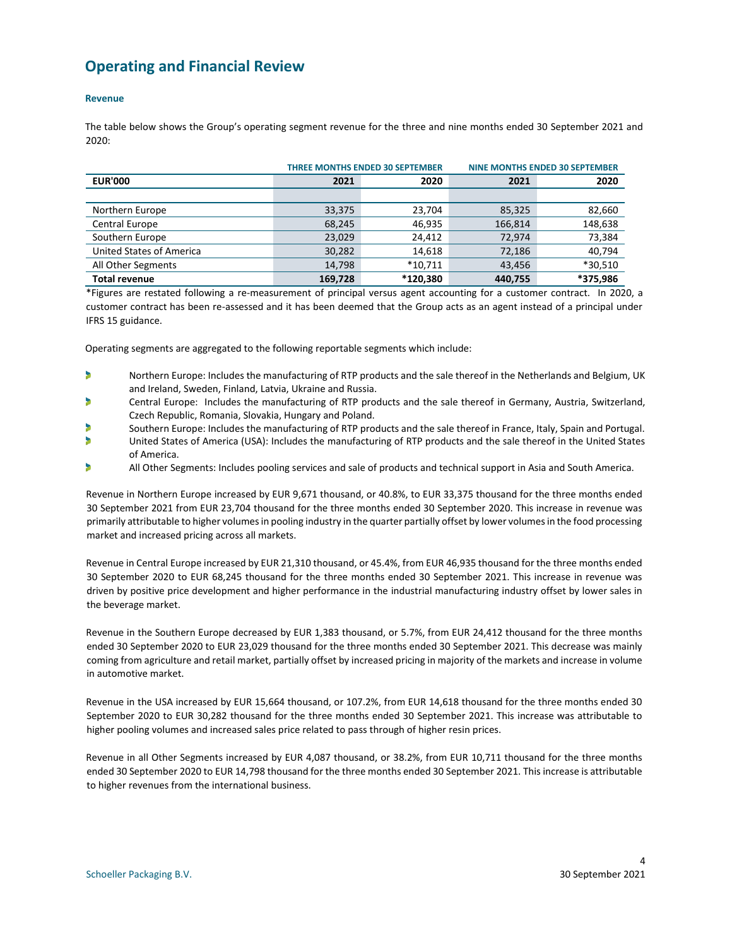## <span id="page-3-0"></span>**Operating and Financial Review**

#### **Revenue**

The table below shows the Group's operating segment revenue for the three and nine months ended 30 September 2021 and 2020:

|                                 | <b>THREE MONTHS ENDED 30 SEPTEMBER</b> |           |         | <b>NINE MONTHS ENDED 30 SEPTEMBER</b> |
|---------------------------------|----------------------------------------|-----------|---------|---------------------------------------|
| <b>EUR'000</b>                  | 2021                                   | 2020      |         | 2020                                  |
|                                 |                                        |           |         |                                       |
| Northern Europe                 | 33,375                                 | 23,704    | 85,325  | 82,660                                |
| Central Europe                  | 68,245                                 | 46,935    | 166,814 | 148,638                               |
| Southern Europe                 | 23,029                                 | 24.412    | 72.974  | 73,384                                |
| <b>United States of America</b> | 30,282                                 | 14,618    | 72,186  | 40,794                                |
| All Other Segments              | 14,798                                 | $*10.711$ | 43,456  | *30,510                               |
| <b>Total revenue</b>            | 169.728                                | *120.380  | 440.755 | *375,986                              |

\*Figures are restated following a re-measurement of principal versus agent accounting for a customer contract. In 2020, a customer contract has been re-assessed and it has been deemed that the Group acts as an agent instead of a principal under IFRS 15 guidance.

Operating segments are aggregated to the following reportable segments which include:

- Northern Europe: Includes the manufacturing of RTP products and the sale thereof in the Netherlands and Belgium, UK b and Ireland, Sweden, Finland, Latvia, Ukraine and Russia.
- × Central Europe: Includes the manufacturing of RTP products and the sale thereof in Germany, Austria, Switzerland, Czech Republic, Romania, Slovakia, Hungary and Poland.
- ٠ Southern Europe: Includes the manufacturing of RTP products and the sale thereof in France, Italy, Spain and Portugal.
- b United States of America (USA): Includes the manufacturing of RTP products and the sale thereof in the United States of America.
- ۶ All Other Segments: Includes pooling services and sale of products and technical support in Asia and South America.

Revenue in Northern Europe increased by EUR 9,671 thousand, or 40.8%, to EUR 33,375 thousand for the three months ended 30 September 2021 from EUR 23,704 thousand for the three months ended 30 September 2020. This increase in revenue was primarily attributable to higher volumes in pooling industry in the quarter partially offset by lower volumes in the food processing market and increased pricing across all markets.

Revenue in Central Europe increased by EUR 21,310 thousand, or 45.4%, from EUR 46,935 thousand for the three months ended 30 September 2020 to EUR 68,245 thousand for the three months ended 30 September 2021. This increase in revenue was driven by positive price development and higher performance in the industrial manufacturing industry offset by lower sales in the beverage market.

Revenue in the Southern Europe decreased by EUR 1,383 thousand, or 5.7%, from EUR 24,412 thousand for the three months ended 30 September 2020 to EUR 23,029 thousand for the three months ended 30 September 2021. This decrease was mainly coming from agriculture and retail market, partially offset by increased pricing in majority of the markets and increase in volume in automotive market.

Revenue in the USA increased by EUR 15,664 thousand, or 107.2%, from EUR 14,618 thousand for the three months ended 30 September 2020 to EUR 30,282 thousand for the three months ended 30 September 2021. This increase was attributable to higher pooling volumes and increased sales price related to pass through of higher resin prices.

Revenue in all Other Segments increased by EUR 4,087 thousand, or 38.2%, from EUR 10,711 thousand for the three months ended 30 September 2020 to EUR 14,798 thousand for the three months ended 30 September 2021. This increase is attributable to higher revenues from the international business.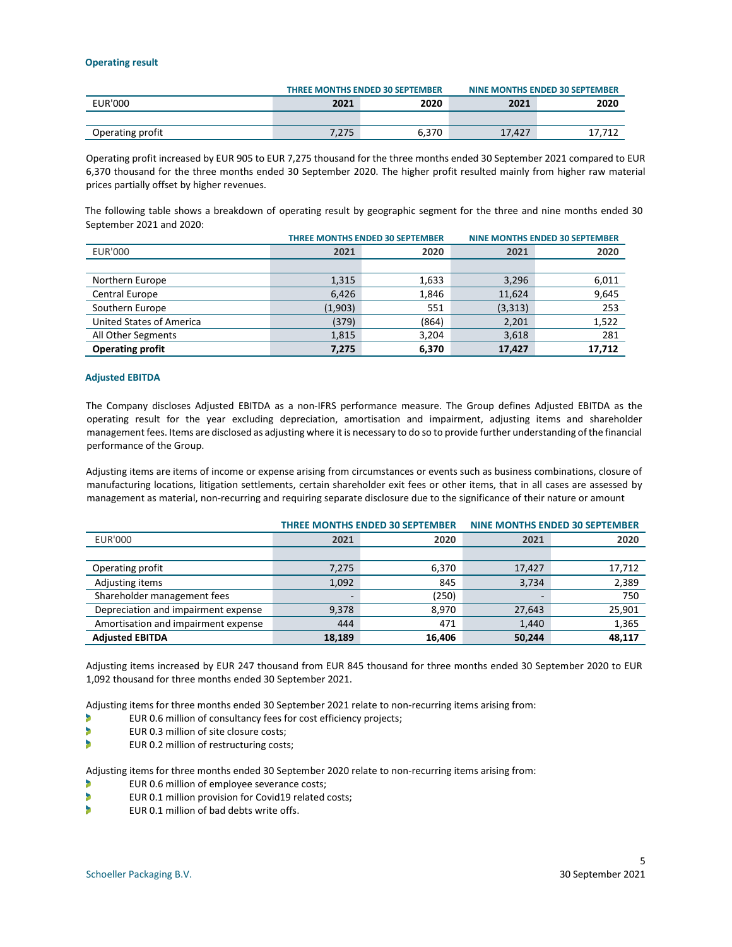#### **Operating result**

|                  |              | <b>THREE MONTHS ENDED 30 SEPTEMBER</b> |        | NINE MONTHS ENDED 30 SEPTEMBER |
|------------------|--------------|----------------------------------------|--------|--------------------------------|
| <b>EUR'000</b>   | 2020<br>2021 |                                        | 2021   | 2020                           |
|                  |              |                                        |        |                                |
| Operating profit | 7.275        | 6.370                                  | 17.427 |                                |

Operating profit increased by EUR 905 to EUR 7,275 thousand for the three months ended 30 September 2021 compared to EUR 6,370 thousand for the three months ended 30 September 2020. The higher profit resulted mainly from higher raw material prices partially offset by higher revenues.

The following table shows a breakdown of operating result by geographic segment for the three and nine months ended 30 September 2021 and 2020:

|                          | THREE MONTHS ENDED 30 SEPTEMBER |       |          | <b>NINE MONTHS ENDED 30 SEPTEMBER</b> |
|--------------------------|---------------------------------|-------|----------|---------------------------------------|
| <b>EUR'000</b>           | 2021                            | 2020  | 2021     | 2020                                  |
|                          |                                 |       |          |                                       |
| Northern Europe          | 1,315                           | 1,633 | 3,296    | 6,011                                 |
| <b>Central Europe</b>    | 6,426                           | 1,846 | 11,624   | 9,645                                 |
| Southern Europe          | (1,903)                         | 551   | (3, 313) | 253                                   |
| United States of America | (379)                           | (864) | 2,201    | 1,522                                 |
| All Other Segments       | 1,815                           | 3,204 | 3,618    | 281                                   |
| <b>Operating profit</b>  | 7,275                           | 6,370 | 17,427   | 17,712                                |

#### **Adjusted EBITDA**

The Company discloses Adjusted EBITDA as a non-IFRS performance measure. The Group defines Adjusted EBITDA as the operating result for the year excluding depreciation, amortisation and impairment, adjusting items and shareholder management fees. Items are disclosed as adjusting where it is necessary to do so to provide further understanding of the financial performance of the Group.

Adjusting items are items of income or expense arising from circumstances or events such as business combinations, closure of manufacturing locations, litigation settlements, certain shareholder exit fees or other items, that in all cases are assessed by management as material, non-recurring and requiring separate disclosure due to the significance of their nature or amount

|                                     | THREE MONTHS ENDED 30 SEPTEMBER |        | <b>NINE MONTHS ENDED 30 SEPTEMBER</b> |        |
|-------------------------------------|---------------------------------|--------|---------------------------------------|--------|
| <b>EUR'000</b>                      | 2021                            | 2020   | 2021                                  | 2020   |
|                                     |                                 |        |                                       |        |
| Operating profit                    | 7,275                           | 6,370  | 17,427                                | 17,712 |
| Adjusting items                     | 1,092                           | 845    | 3,734                                 | 2,389  |
| Shareholder management fees         | -                               | (250)  |                                       | 750    |
| Depreciation and impairment expense | 9,378                           | 8.970  | 27,643                                | 25,901 |
| Amortisation and impairment expense | 444                             | 471    | 1,440                                 | 1,365  |
| <b>Adjusted EBITDA</b>              | 18,189                          | 16,406 | 50,244                                | 48,117 |

Adjusting items increased by EUR 247 thousand from EUR 845 thousand for three months ended 30 September 2020 to EUR 1,092 thousand for three months ended 30 September 2021.

Adjusting items for three months ended 30 September 2021 relate to non-recurring items arising from:

- D EUR 0.6 million of consultancy fees for cost efficiency projects;
- ь EUR 0.3 million of site closure costs;
- Þ EUR 0.2 million of restructuring costs;

Adjusting items for three months ended 30 September 2020 relate to non-recurring items arising from:

- Þ EUR 0.6 million of employee severance costs;
- b EUR 0.1 million provision for Covid19 related costs;
- Þ EUR 0.1 million of bad debts write offs.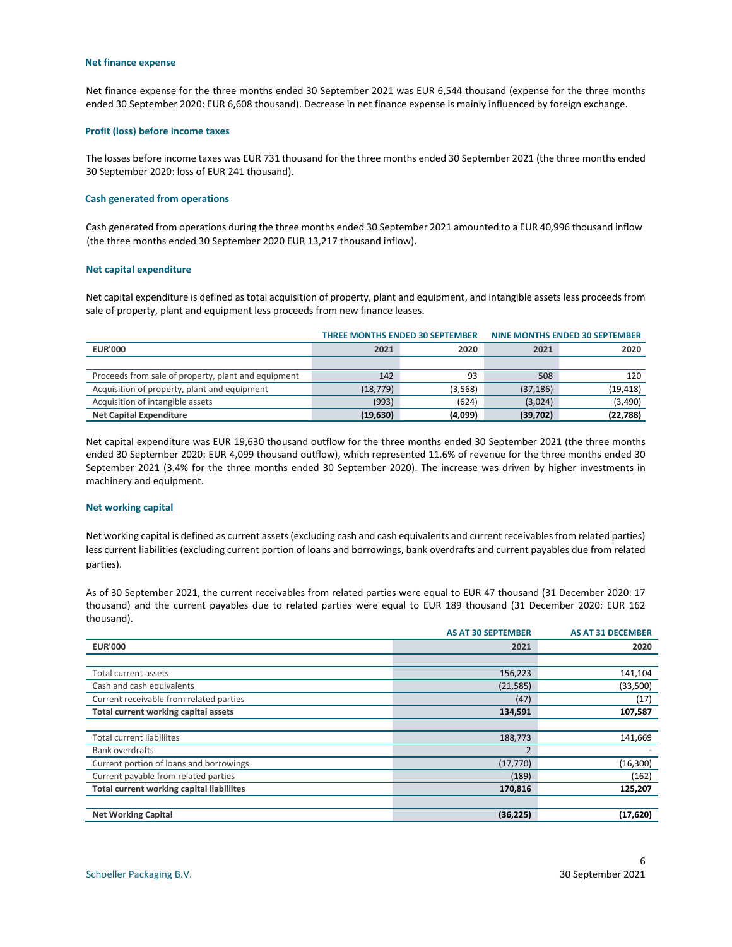#### **Net finance expense**

Net finance expense for the three months ended 30 September 2021 was EUR 6,544 thousand (expense for the three months ended 30 September 2020: EUR 6,608 thousand). Decrease in net finance expense is mainly influenced by foreign exchange.

#### **Profit (loss) before income taxes**

The losses before income taxes was EUR 731 thousand for the three months ended 30 September 2021 (the three months ended 30 September 2020: loss of EUR 241 thousand).

#### **Cash generated from operations**

Cash generated from operations during the three months ended 30 September 2021 amounted to a EUR 40,996 thousand inflow (the three months ended 30 September 2020 EUR 13,217 thousand inflow).

#### **Net capital expenditure**

Net capital expenditure is defined as total acquisition of property, plant and equipment, and intangible assets less proceeds from sale of property, plant and equipment less proceeds from new finance leases.

|                                                     |           | THREE MONTHS ENDED 30 SEPTEMBER |           | NINE MONTHS ENDED 30 SEPTEMBER |
|-----------------------------------------------------|-----------|---------------------------------|-----------|--------------------------------|
| <b>EUR'000</b>                                      | 2021      | 2020                            | 2021      | 2020                           |
|                                                     |           |                                 |           |                                |
| Proceeds from sale of property, plant and equipment | 142       | 93                              | 508       | 120                            |
| Acquisition of property, plant and equipment        | (18, 779) | (3,568)                         | (37, 186) | (19, 418)                      |
| Acquisition of intangible assets                    | (993)     | (624)                           | (3,024)   | (3,490)                        |
| <b>Net Capital Expenditure</b>                      | (19, 630) | (4,099)                         | (39,702)  | (22, 788)                      |

Net capital expenditure was EUR 19,630 thousand outflow for the three months ended 30 September 2021 (the three months ended 30 September 2020: EUR 4,099 thousand outflow), which represented 11.6% of revenue for the three months ended 30 September 2021 (3.4% for the three months ended 30 September 2020). The increase was driven by higher investments in machinery and equipment.

#### **Net working capital**

Net working capital is defined as current assets (excluding cash and cash equivalents and current receivables from related parties) less current liabilities (excluding current portion of loans and borrowings, bank overdrafts and current payables due from related parties).

As of 30 September 2021, the current receivables from related parties were equal to EUR 47 thousand (31 December 2020: 17 thousand) and the current payables due to related parties were equal to EUR 189 thousand (31 December 2020: EUR 162 thousand).

|                                                  | <b>AS AT 30 SEPTEMBER</b> | <b>AS AT 31 DECEMBER</b> |
|--------------------------------------------------|---------------------------|--------------------------|
| <b>EUR'000</b>                                   | 2021                      | 2020                     |
|                                                  |                           |                          |
| Total current assets                             | 156,223                   | 141,104                  |
| Cash and cash equivalents                        | (21, 585)                 | (33,500)                 |
| Current receivable from related parties          | (47)                      | (17)                     |
| Total current working capital assets             | 134,591                   | 107,587                  |
|                                                  |                           |                          |
| <b>Total current liabiliites</b>                 | 188,773                   | 141,669                  |
| <b>Bank overdrafts</b>                           | 2                         |                          |
| Current portion of loans and borrowings          | (17, 770)                 | (16, 300)                |
| Current payable from related parties             | (189)                     | (162)                    |
| <b>Total current working capital liabiliites</b> | 170,816                   | 125,207                  |
|                                                  |                           |                          |
| <b>Net Working Capital</b>                       | (36, 225)                 | (17, 620)                |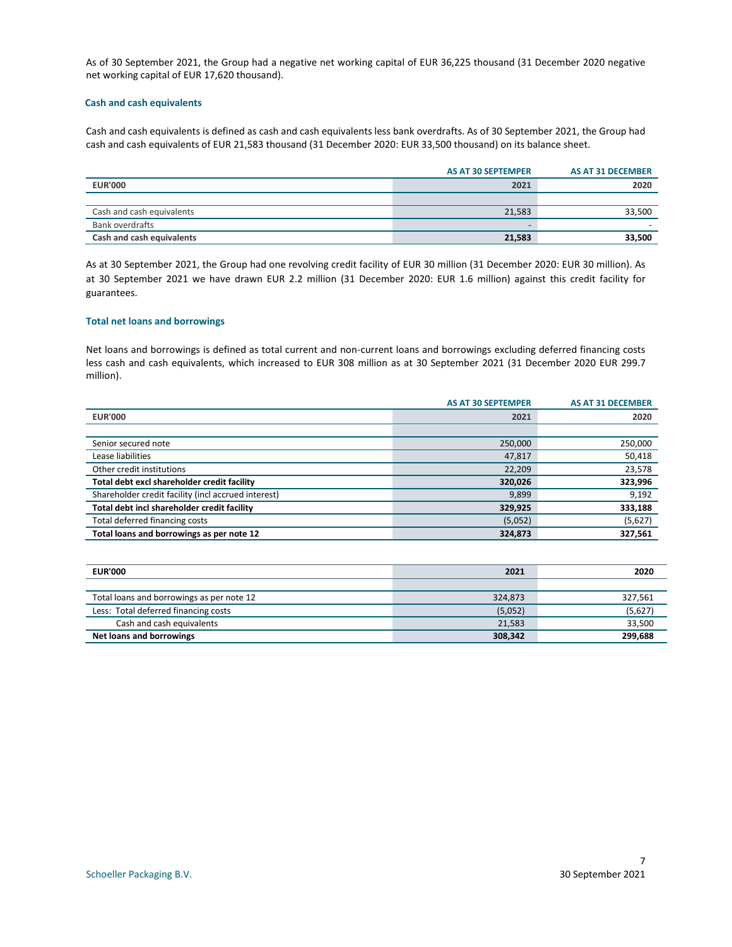As of 30 September 2021, the Group had a negative net working capital of EUR 36,225 thousand (31 December 2020 negative net working capital of EUR 17,620 thousand).

#### **Cash and cash equivalents**

Cash and cash equivalents is defined as cash and cash equivalents less bank overdrafts. As of 30 September 2021, the Group had cash and cash equivalents of EUR 21,583 thousand (31 December 2020: EUR 33,500 thousand) on its balance sheet.

|                           | <b>AS AT 30 SEPTEMPER</b> | AS AT 31 DECEMBER |
|---------------------------|---------------------------|-------------------|
| <b>EUR'000</b>            | 2021                      | 2020              |
|                           |                           |                   |
| Cash and cash equivalents | 21,583                    | 33.500            |
| Bank overdrafts           | $\overline{\phantom{0}}$  |                   |
| Cash and cash equivalents | 21.583                    | 33,500            |

As at 30 September 2021, the Group had one revolving credit facility of EUR 30 million (31 December 2020: EUR 30 million). As at 30 September 2021 we have drawn EUR 2.2 million (31 December 2020: EUR 1.6 million) against this credit facility for guarantees.

#### **Total net loans and borrowings**

Net loans and borrowings is defined as total current and non-current loans and borrowings excluding deferred financing costs less cash and cash equivalents, which increased to EUR 308 million as at 30 September 2021 (31 December 2020 EUR 299.7 million).

|                                                     | <b>AS AT 30 SEPTEMPER</b> | <b>AS AT 31 DECEMBER</b> |
|-----------------------------------------------------|---------------------------|--------------------------|
| <b>EUR'000</b>                                      | 2021                      | 2020                     |
|                                                     |                           |                          |
| Senior secured note                                 | 250,000                   | 250,000                  |
| Lease liabilities                                   | 47,817                    | 50,418                   |
| Other credit institutions                           | 22,209                    | 23,578                   |
| Total debt excl shareholder credit facility         | 320,026                   | 323,996                  |
| Shareholder credit facility (incl accrued interest) | 9,899                     | 9,192                    |
| Total debt incl shareholder credit facility         | 329,925                   | 333,188                  |
| Total deferred financing costs                      | (5,052)                   | (5,627)                  |
| Total loans and borrowings as per note 12           | 324,873                   | 327,561                  |

| <b>EUR'000</b>                            | 2021    | 2020    |
|-------------------------------------------|---------|---------|
|                                           |         |         |
| Total loans and borrowings as per note 12 | 324.873 | 327,561 |
| Less: Total deferred financing costs      | (5,052) | (5,627) |
| Cash and cash equivalents                 | 21,583  | 33.500  |
| Net loans and borrowings                  | 308,342 | 299.688 |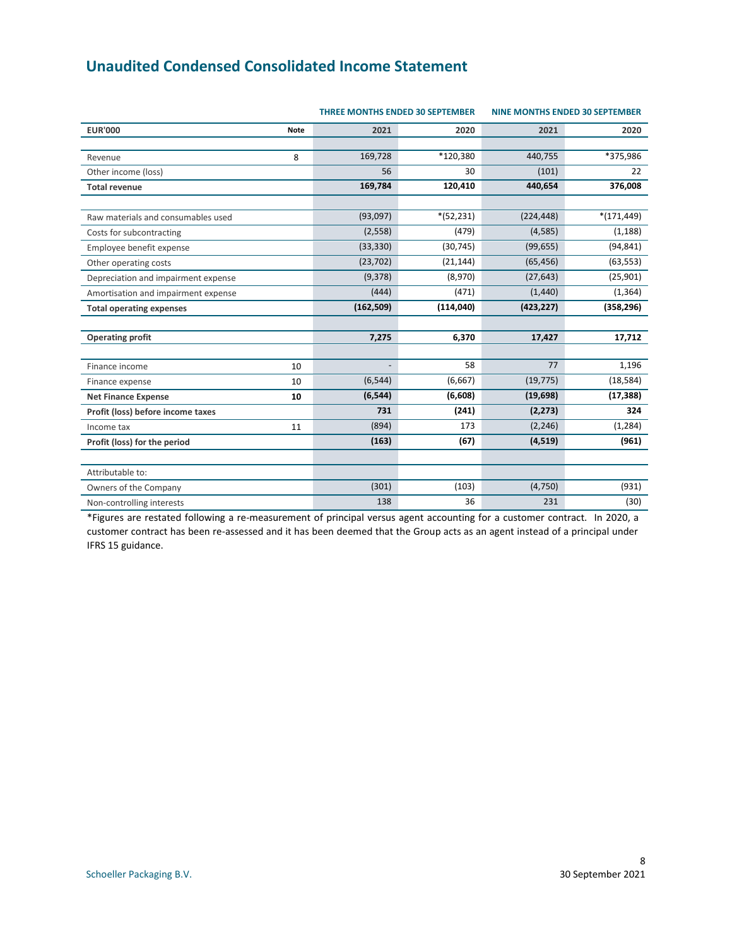# <span id="page-7-0"></span>**Unaudited Condensed Consolidated Income Statement**

|                                     |             | <b>THREE MONTHS ENDED 30 SEPTEMBER</b> | <b>NINE MONTHS ENDED 30 SEPTEMBER</b> |            |               |
|-------------------------------------|-------------|----------------------------------------|---------------------------------------|------------|---------------|
| <b>EUR'000</b>                      | <b>Note</b> | 2021                                   | 2020                                  | 2021       | 2020          |
| Revenue                             | 8           | 169,728                                | *120,380                              | 440,755    | *375,986      |
| Other income (loss)                 |             | 56                                     | 30                                    | (101)      | 22            |
| <b>Total revenue</b>                |             | 169,784                                | 120,410                               | 440,654    | 376,008       |
|                                     |             |                                        |                                       |            |               |
| Raw materials and consumables used  |             | (93,097)                               | $*(52, 231)$                          | (224, 448) | $*(171, 449)$ |
| Costs for subcontracting            |             | (2, 558)                               | (479)                                 | (4,585)    | (1, 188)      |
| Employee benefit expense            |             | (33, 330)                              | (30, 745)                             | (99, 655)  | (94, 841)     |
| Other operating costs               |             | (23, 702)                              | (21, 144)                             | (65, 456)  | (63, 553)     |
| Depreciation and impairment expense |             | (9,378)                                | (8,970)                               | (27, 643)  | (25, 901)     |
| Amortisation and impairment expense |             | (444)                                  | (471)                                 | (1,440)    | (1, 364)      |
| <b>Total operating expenses</b>     |             | (162, 509)                             | (114, 040)                            | (423, 227) | (358, 296)    |
|                                     |             |                                        |                                       |            |               |
| <b>Operating profit</b>             |             | 7,275                                  | 6,370                                 | 17,427     | 17,712        |
|                                     |             |                                        |                                       |            |               |
| Finance income                      | 10          |                                        | 58                                    | 77         | 1,196         |
| Finance expense                     | 10          | (6, 544)                               | (6, 667)                              | (19, 775)  | (18, 584)     |
| <b>Net Finance Expense</b>          | 10          | (6, 544)                               | (6,608)                               | (19, 698)  | (17, 388)     |
| Profit (loss) before income taxes   |             | 731                                    | (241)                                 | (2, 273)   | 324           |
| Income tax                          | 11          | (894)                                  | 173                                   | (2, 246)   | (1, 284)      |
| Profit (loss) for the period        |             | (163)                                  | (67)                                  | (4, 519)   | (961)         |
|                                     |             |                                        |                                       |            |               |
| Attributable to:                    |             |                                        |                                       |            |               |
| Owners of the Company               |             | (301)                                  | (103)                                 | (4, 750)   | (931)         |
| Non-controlling interests           |             | 138                                    | 36                                    | 231        | (30)          |

\*Figures are restated following a re-measurement of principal versus agent accounting for a customer contract. In 2020, a customer contract has been re-assessed and it has been deemed that the Group acts as an agent instead of a principal under IFRS 15 guidance.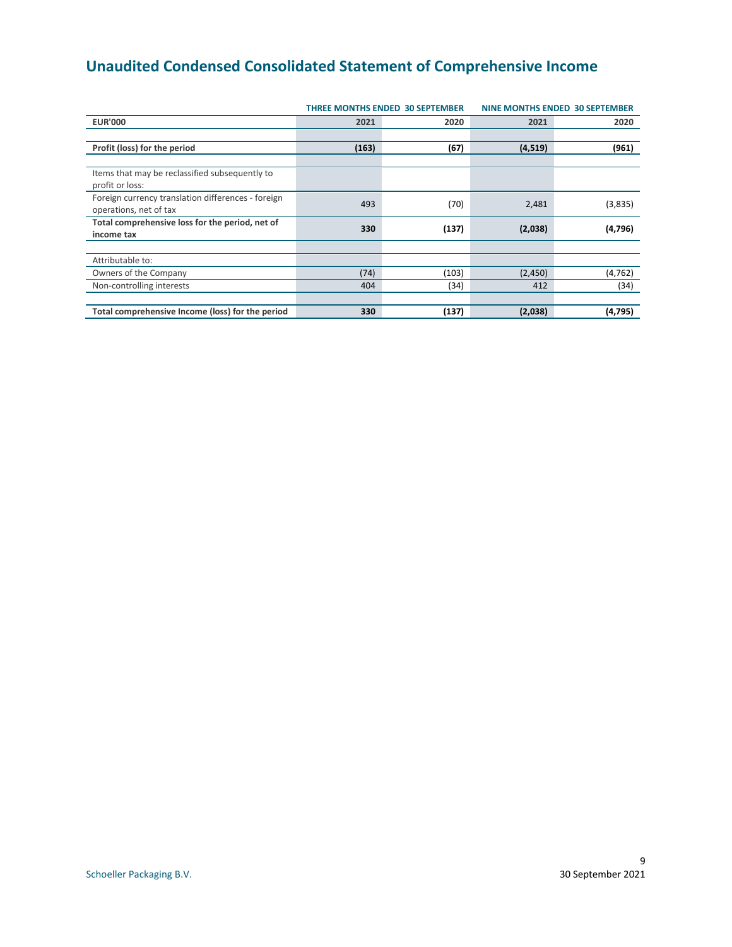# <span id="page-8-0"></span>**Unaudited Condensed Consolidated Statement of Comprehensive Income**

|                                                                              |       | <b>THREE MONTHS ENDED 30 SEPTEMBER</b> |          | <b>NINE MONTHS ENDED 30 SEPTEMBER</b> |  |
|------------------------------------------------------------------------------|-------|----------------------------------------|----------|---------------------------------------|--|
| <b>EUR'000</b>                                                               | 2021  | 2020                                   | 2021     | 2020                                  |  |
|                                                                              |       |                                        |          |                                       |  |
| Profit (loss) for the period                                                 | (163) | (67)                                   | (4, 519) | (961)                                 |  |
|                                                                              |       |                                        |          |                                       |  |
| Items that may be reclassified subsequently to<br>profit or loss:            |       |                                        |          |                                       |  |
| Foreign currency translation differences - foreign<br>operations, net of tax | 493   | (70)                                   | 2,481    | (3,835)                               |  |
| Total comprehensive loss for the period, net of<br>income tax                | 330   | (137)                                  | (2,038)  | (4,796)                               |  |
|                                                                              |       |                                        |          |                                       |  |
| Attributable to:                                                             |       |                                        |          |                                       |  |
| Owners of the Company                                                        | (74)  | (103)                                  | (2,450)  | (4, 762)                              |  |
| Non-controlling interests                                                    | 404   | (34)                                   | 412      | (34)                                  |  |
|                                                                              |       |                                        |          |                                       |  |
| Total comprehensive Income (loss) for the period                             | 330   | (137)                                  | (2,038)  | (4, 795)                              |  |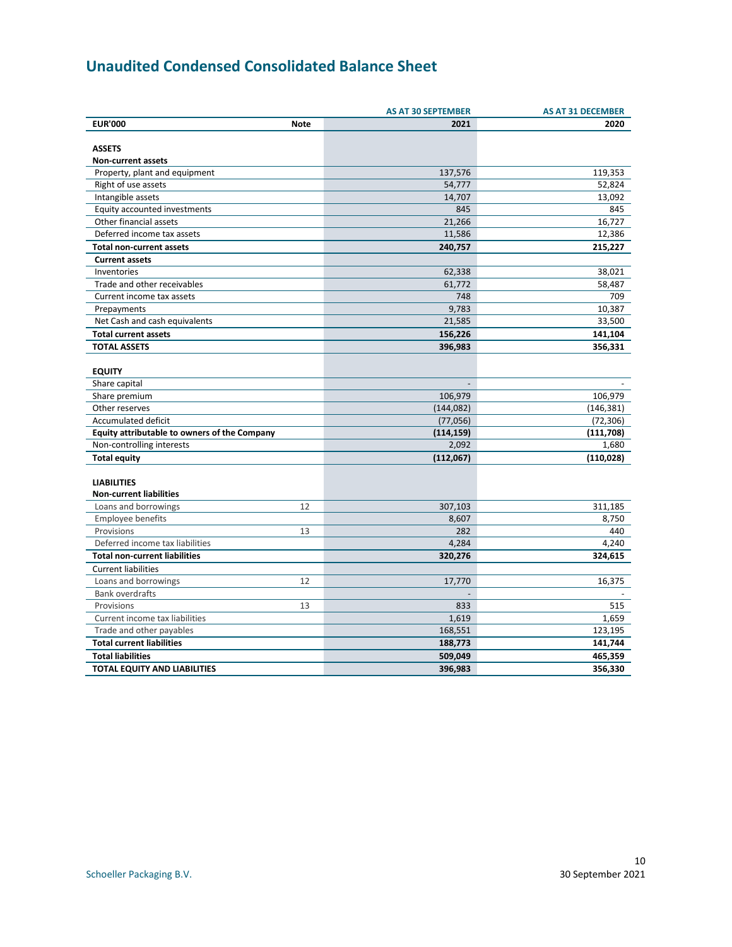# <span id="page-9-0"></span>**Unaudited Condensed Consolidated Balance Sheet**

|                                              |             | <b>AS AT 30 SEPTEMBER</b> | <b>AS AT 31 DECEMBER</b> |
|----------------------------------------------|-------------|---------------------------|--------------------------|
| <b>EUR'000</b>                               | <b>Note</b> | 2021                      | 2020                     |
|                                              |             |                           |                          |
| <b>ASSETS</b>                                |             |                           |                          |
| Non-current assets                           |             |                           |                          |
| Property, plant and equipment                |             | 137,576                   | 119,353                  |
| Right of use assets                          |             | 54,777                    | 52,824                   |
| Intangible assets                            |             | 14,707                    | 13,092                   |
| Equity accounted investments                 |             | 845                       | 845                      |
| Other financial assets                       |             | 21,266                    | 16,727                   |
| Deferred income tax assets                   |             | 11,586                    | 12,386                   |
| <b>Total non-current assets</b>              |             | 240,757                   | 215,227                  |
| <b>Current assets</b>                        |             |                           |                          |
| Inventories                                  |             | 62,338                    | 38,021                   |
| Trade and other receivables                  |             | 61,772                    | 58,487                   |
| Current income tax assets                    |             | 748                       | 709                      |
| Prepayments                                  |             | 9,783                     | 10,387                   |
| Net Cash and cash equivalents                |             | 21,585                    | 33,500                   |
| <b>Total current assets</b>                  |             | 156,226                   | 141,104                  |
| <b>TOTAL ASSETS</b>                          |             | 396,983                   | 356,331                  |
|                                              |             |                           |                          |
| <b>EQUITY</b>                                |             |                           |                          |
| Share capital                                |             | $\overline{a}$            |                          |
| Share premium                                |             | 106,979                   | 106,979                  |
| Other reserves                               |             | (144, 082)                | (146, 381)               |
| <b>Accumulated deficit</b>                   |             | (77,056)                  | (72, 306)                |
| Equity attributable to owners of the Company |             | (114, 159)                | (111, 708)               |
| Non-controlling interests                    |             | 2,092                     | 1,680                    |
| <b>Total equity</b>                          |             | (112,067)                 | (110, 028)               |
|                                              |             |                           |                          |
| <b>LIABILITIES</b>                           |             |                           |                          |
| <b>Non-current liabilities</b>               |             |                           |                          |
| Loans and borrowings                         | 12          | 307,103                   | 311,185                  |
| <b>Employee benefits</b>                     |             | 8,607                     | 8,750                    |
| Provisions                                   | 13          | 282                       | 440                      |
| Deferred income tax liabilities              |             | 4,284                     | 4.240                    |
| <b>Total non-current liabilities</b>         |             | 320,276                   | 324,615                  |
| <b>Current liabilities</b>                   |             |                           |                          |
| Loans and borrowings                         | 12          | 17,770                    | 16,375                   |
| <b>Bank overdrafts</b>                       |             |                           |                          |
| Provisions                                   | 13          | 833                       | 515                      |
| Current income tax liabilities               |             | 1,619                     | 1,659                    |
| Trade and other payables                     |             | 168,551                   | 123,195                  |
| <b>Total current liabilities</b>             |             | 188,773                   | 141,744                  |
| <b>Total liabilities</b>                     |             | 509,049                   | 465,359                  |
| <b>TOTAL EQUITY AND LIABILITIES</b>          |             | 396,983                   | 356,330                  |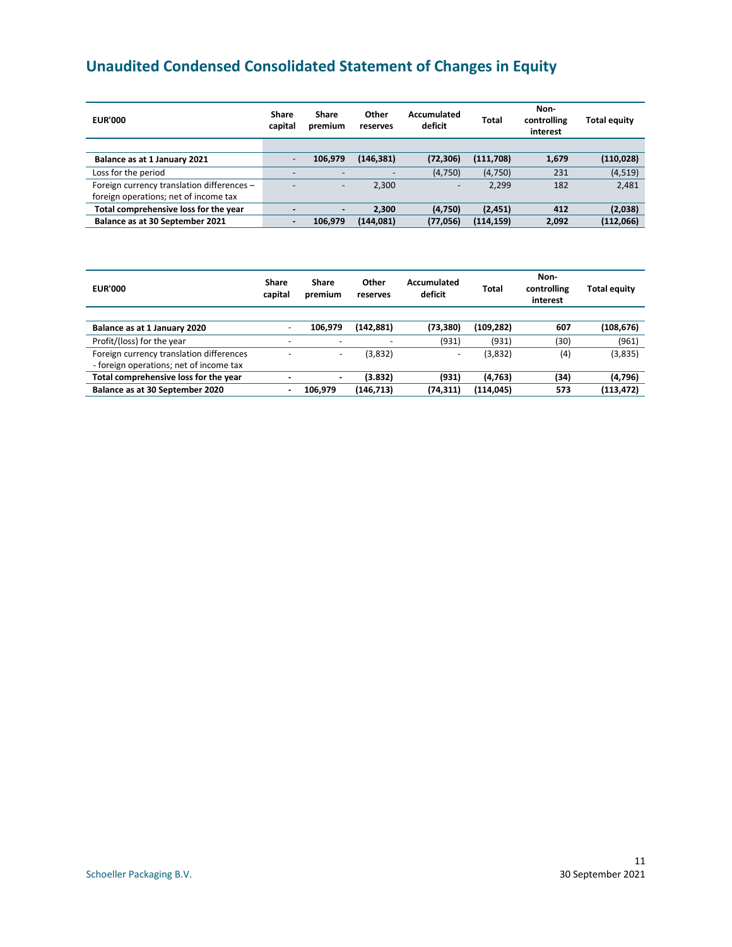# <span id="page-10-0"></span>**Unaudited Condensed Consolidated Statement of Changes in Equity**

| <b>EUR'000</b>                             | Share<br>capital         | Share<br>premium         | Other<br>reserves | Accumulated<br>deficit   | Total      | Non-<br>controlling<br>interest | <b>Total equity</b> |
|--------------------------------------------|--------------------------|--------------------------|-------------------|--------------------------|------------|---------------------------------|---------------------|
|                                            |                          |                          |                   |                          |            |                                 |                     |
| Balance as at 1 January 2021               |                          | 106,979                  | (146, 381)        | (72, 306)                | (111,708)  | 1,679                           | (110, 028)          |
| Loss for the period                        |                          | $\overline{\phantom{a}}$ |                   | (4,750)                  | (4,750)    | 231                             | (4, 519)            |
| Foreign currency translation differences - |                          | $\overline{\phantom{a}}$ | 2,300             | $\overline{\phantom{0}}$ | 2,299      | 182                             | 2,481               |
| foreign operations; net of income tax      |                          |                          |                   |                          |            |                                 |                     |
| Total comprehensive loss for the year      | $\overline{\phantom{0}}$ | $\blacksquare$           | 2.300             | (4,750)                  | (2, 451)   | 412                             | (2,038)             |
| Balance as at 30 September 2021            | $\overline{\phantom{0}}$ | 106.979                  | (144, 081)        | (77,056)                 | (114, 159) | 2,092                           | (112,066)           |

| <b>EUR'000</b>                           | Share<br>capital         | Share<br>premium         | Other<br>reserves | Accumulated<br>deficit   | Total      | Non-<br>controlling<br>interest | <b>Total equity</b> |
|------------------------------------------|--------------------------|--------------------------|-------------------|--------------------------|------------|---------------------------------|---------------------|
|                                          |                          |                          |                   |                          |            |                                 |                     |
| Balance as at 1 January 2020             |                          | 106.979                  | (142,881)         | (73, 380)                | (109, 282) | 607                             | (108, 676)          |
| Profit/(loss) for the year               | $\overline{\phantom{0}}$ | $\overline{\phantom{a}}$ |                   | (931)                    | (931)      | (30)                            | (961)               |
| Foreign currency translation differences | $\overline{\phantom{a}}$ | $\overline{\phantom{0}}$ | (3,832)           | $\overline{\phantom{0}}$ | (3,832)    | (4)                             | (3,835)             |
| - foreign operations; net of income tax  |                          |                          |                   |                          |            |                                 |                     |
| Total comprehensive loss for the year    |                          |                          | (3.832)           | (931)                    | (4, 763)   | (34)                            | (4,796)             |
| Balance as at 30 September 2020          | $\blacksquare$           | 106.979                  | (146,713)         | (74, 311)                | (114, 045) | 573                             | (113, 472)          |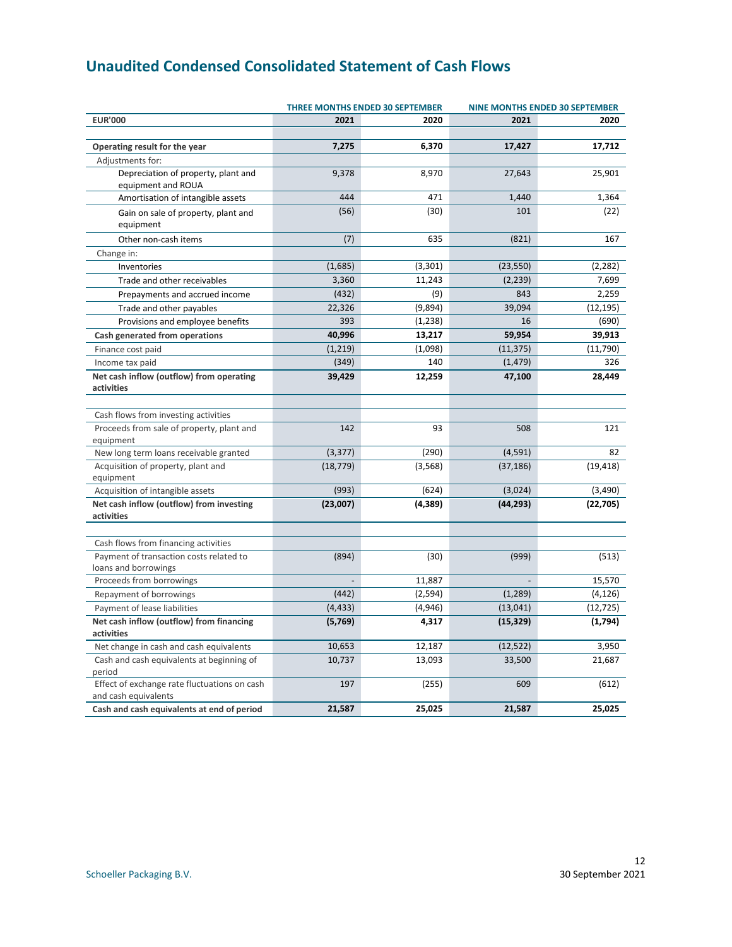# <span id="page-11-0"></span>**Unaudited Condensed Consolidated Statement of Cash Flows**

|                                                        | <b>THREE MONTHS ENDED 30 SEPTEMBER</b> | <b>NINE MONTHS ENDED 30 SEPTEMBER</b> |           |           |
|--------------------------------------------------------|----------------------------------------|---------------------------------------|-----------|-----------|
| <b>EUR'000</b>                                         | 2021                                   | 2020                                  | 2021      | 2020      |
| Operating result for the year                          | 7,275                                  | 6,370                                 | 17,427    | 17,712    |
| Adjustments for:                                       |                                        |                                       |           |           |
| Depreciation of property, plant and                    | 9,378                                  | 8,970                                 | 27,643    | 25,901    |
| equipment and ROUA                                     |                                        |                                       |           |           |
| Amortisation of intangible assets                      | 444                                    | 471                                   | 1,440     | 1,364     |
| Gain on sale of property, plant and<br>equipment       | (56)                                   | (30)                                  | 101       | (22)      |
| Other non-cash items                                   | (7)                                    | 635                                   | (821)     | 167       |
| Change in:                                             |                                        |                                       |           |           |
| Inventories                                            | (1,685)                                | (3,301)                               | (23, 550) | (2, 282)  |
| Trade and other receivables                            | 3,360                                  | 11,243                                | (2, 239)  | 7,699     |
| Prepayments and accrued income                         | (432)                                  | (9)                                   | 843       | 2,259     |
| Trade and other payables                               | 22,326                                 | (9,894)                               | 39,094    | (12, 195) |
| Provisions and employee benefits                       | 393                                    | (1, 238)                              | 16        | (690)     |
| Cash generated from operations                         | 40,996                                 | 13,217                                | 59,954    | 39,913    |
| Finance cost paid                                      | (1, 219)                               | (1,098)                               | (11, 375) | (11,790)  |
| Income tax paid                                        | (349)                                  | 140                                   | (1, 479)  | 326       |
| Net cash inflow (outflow) from operating               | 39,429                                 | 12,259                                | 47,100    | 28,449    |
| activities                                             |                                        |                                       |           |           |
|                                                        |                                        |                                       |           |           |
| Cash flows from investing activities                   |                                        |                                       |           |           |
| Proceeds from sale of property, plant and              | 142                                    | 93                                    | 508       | 121       |
| equipment                                              |                                        |                                       |           |           |
| New long term loans receivable granted                 | (3, 377)                               | (290)                                 | (4, 591)  | 82        |
| Acquisition of property, plant and                     | (18, 779)                              | (3, 568)                              | (37, 186) | (19, 418) |
| equipment                                              |                                        |                                       |           |           |
| Acquisition of intangible assets                       | (993)                                  | (624)                                 | (3,024)   | (3,490)   |
| Net cash inflow (outflow) from investing<br>activities | (23,007)                               | (4, 389)                              | (44, 293) | (22, 705) |
|                                                        |                                        |                                       |           |           |
| Cash flows from financing activities                   |                                        |                                       |           |           |
| Payment of transaction costs related to                | (894)                                  | (30)                                  | (999)     | (513)     |
| loans and borrowings                                   |                                        |                                       |           |           |
| Proceeds from borrowings                               |                                        | 11,887                                |           | 15,570    |
| Repayment of borrowings                                | (442)                                  | (2, 594)                              | (1, 289)  | (4, 126)  |
| Payment of lease liabilities                           | (4, 433)                               | (4,946)                               | (13, 041) | (12, 725) |
| Net cash inflow (outflow) from financing               | (5,769)                                | 4,317                                 | (15, 329) | (1,794)   |
| activities                                             |                                        |                                       |           |           |
| Net change in cash and cash equivalents                | 10,653                                 | 12,187                                | (12, 522) | 3,950     |
| Cash and cash equivalents at beginning of              | 10,737                                 | 13,093                                | 33,500    | 21,687    |
| period                                                 |                                        |                                       |           |           |
| Effect of exchange rate fluctuations on cash           | 197                                    | (255)                                 | 609       | (612)     |
| and cash equivalents                                   |                                        |                                       |           | 25,025    |
| Cash and cash equivalents at end of period             | 21,587                                 | 25,025                                | 21,587    |           |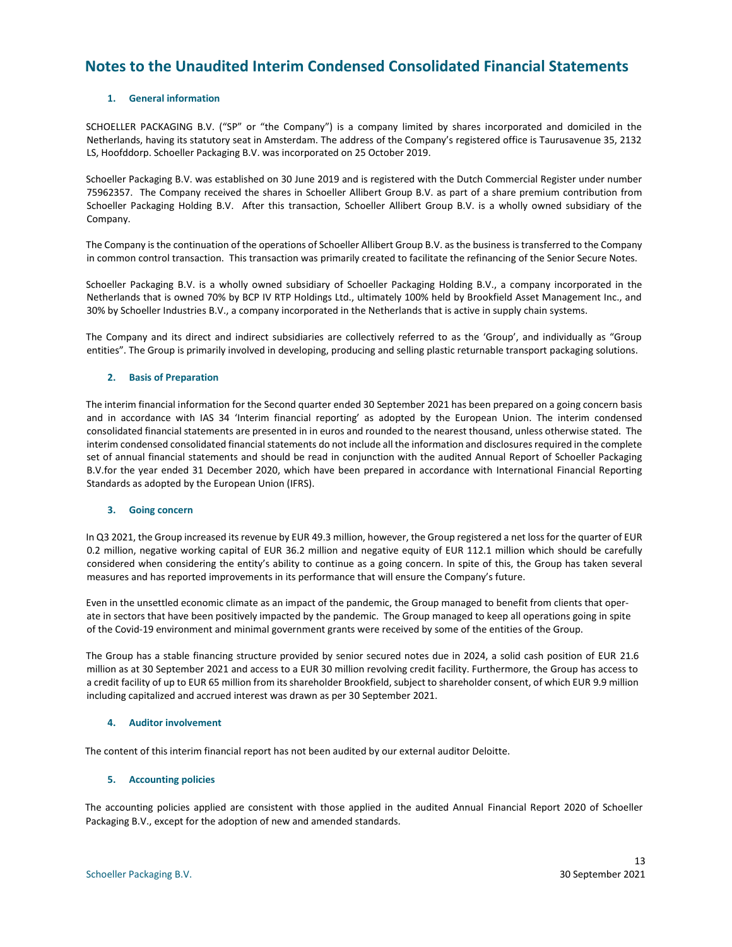### <span id="page-12-0"></span>**Notes to the Unaudited Interim Condensed Consolidated Financial Statements**

#### **1. General information**

SCHOELLER PACKAGING B.V. ("SP" or "the Company") is a company limited by shares incorporated and domiciled in the Netherlands, having its statutory seat in Amsterdam. The address of the Company's registered office is Taurusavenue 35, 2132 LS, Hoofddorp. Schoeller Packaging B.V. was incorporated on 25 October 2019.

Schoeller Packaging B.V. was established on 30 June 2019 and is registered with the Dutch Commercial Register under number 75962357. The Company received the shares in Schoeller Allibert Group B.V. as part of a share premium contribution from Schoeller Packaging Holding B.V. After this transaction, Schoeller Allibert Group B.V. is a wholly owned subsidiary of the Company.

The Company is the continuation of the operations of Schoeller Allibert Group B.V. as the business is transferred to the Company in common control transaction. This transaction was primarily created to facilitate the refinancing of the Senior Secure Notes.

Schoeller Packaging B.V. is a wholly owned subsidiary of Schoeller Packaging Holding B.V., a company incorporated in the Netherlands that is owned 70% by BCP IV RTP Holdings Ltd., ultimately 100% held by Brookfield Asset Management Inc., and 30% by Schoeller Industries B.V., a company incorporated in the Netherlands that is active in supply chain systems.

The Company and its direct and indirect subsidiaries are collectively referred to as the 'Group', and individually as "Group entities". The Group is primarily involved in developing, producing and selling plastic returnable transport packaging solutions.

#### **2. Basis of Preparation**

The interim financial information for the Second quarter ended 30 September 2021 has been prepared on a going concern basis and in accordance with IAS 34 'Interim financial reporting' as adopted by the European Union. The interim condensed consolidated financial statements are presented in in euros and rounded to the nearest thousand, unless otherwise stated. The interim condensed consolidated financial statements do not include all the information and disclosures required in the complete set of annual financial statements and should be read in conjunction with the audited Annual Report of Schoeller Packaging B.V.for the year ended 31 December 2020, which have been prepared in accordance with International Financial Reporting Standards as adopted by the European Union (IFRS).

#### **3. Going concern**

In Q3 2021, the Group increased its revenue by EUR 49.3 million, however, the Group registered a net loss for the quarter of EUR 0.2 million, negative working capital of EUR 36.2 million and negative equity of EUR 112.1 million which should be carefully considered when considering the entity's ability to continue as a going concern. In spite of this, the Group has taken several measures and has reported improvements in its performance that will ensure the Company's future.

Even in the unsettled economic climate as an impact of the pandemic, the Group managed to benefit from clients that operate in sectors that have been positively impacted by the pandemic. The Group managed to keep all operations going in spite of the Covid-19 environment and minimal government grants were received by some of the entities of the Group.

The Group has a stable financing structure provided by senior secured notes due in 2024, a solid cash position of EUR 21.6 million as at 30 September 2021 and access to a EUR 30 million revolving credit facility. Furthermore, the Group has access to a credit facility of up to EUR 65 million from its shareholder Brookfield, subject to shareholder consent, of which EUR 9.9 million including capitalized and accrued interest was drawn as per 30 September 2021.

#### **4. Auditor involvement**

The content of this interim financial report has not been audited by our external auditor Deloitte.

#### **5. Accounting policies**

The accounting policies applied are consistent with those applied in the audited Annual Financial Report 2020 of Schoeller Packaging B.V., except for the adoption of new and amended standards.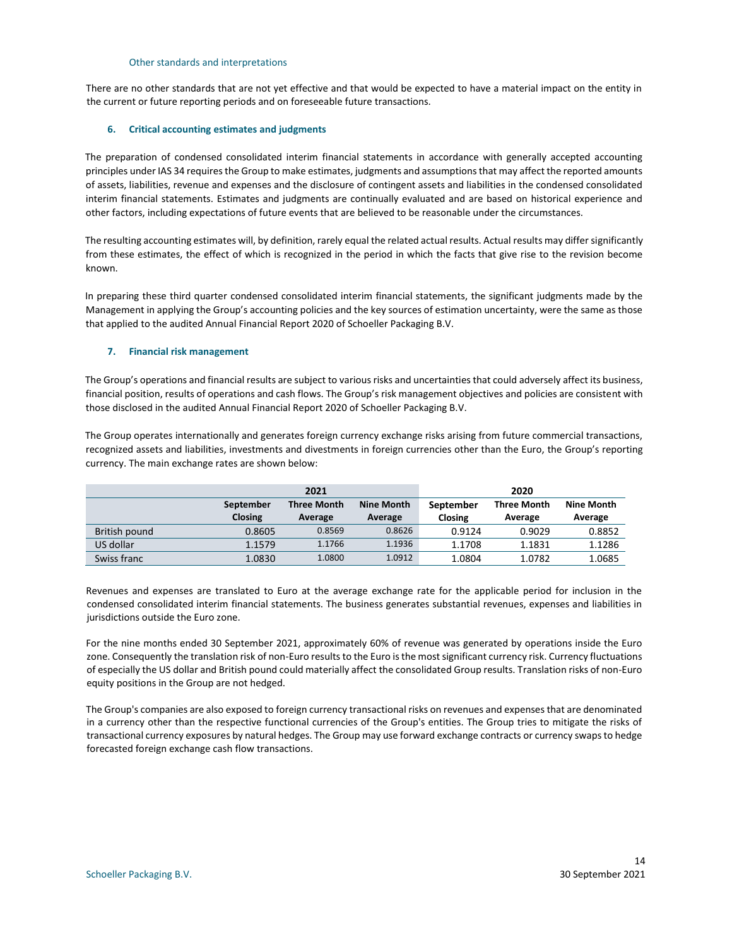#### Other standards and interpretations

There are no other standards that are not yet effective and that would be expected to have a material impact on the entity in the current or future reporting periods and on foreseeable future transactions.

#### **6. Critical accounting estimates and judgments**

The preparation of condensed consolidated interim financial statements in accordance with generally accepted accounting principles under IAS 34 requires the Group to make estimates, judgments and assumptions that may affect the reported amounts of assets, liabilities, revenue and expenses and the disclosure of contingent assets and liabilities in the condensed consolidated interim financial statements. Estimates and judgments are continually evaluated and are based on historical experience and other factors, including expectations of future events that are believed to be reasonable under the circumstances.

The resulting accounting estimates will, by definition, rarely equal the related actual results. Actual results may differ significantly from these estimates, the effect of which is recognized in the period in which the facts that give rise to the revision become known.

In preparing these third quarter condensed consolidated interim financial statements, the significant judgments made by the Management in applying the Group's accounting policies and the key sources of estimation uncertainty, were the same as those that applied to the audited Annual Financial Report 2020 of Schoeller Packaging B.V.

#### **7. Financial risk management**

The Group's operations and financial results are subject to various risks and uncertainties that could adversely affect its business, financial position, results of operations and cash flows. The Group's risk management objectives and policies are consistent with those disclosed in the audited Annual Financial Report 2020 of Schoeller Packaging B.V.

The Group operates internationally and generates foreign currency exchange risks arising from future commercial transactions, recognized assets and liabilities, investments and divestments in foreign currencies other than the Euro, the Group's reporting currency. The main exchange rates are shown below:

|               |                             | 2021                          |                              | 2020                 |                               |                              |  |
|---------------|-----------------------------|-------------------------------|------------------------------|----------------------|-------------------------------|------------------------------|--|
|               | September<br><b>Closing</b> | <b>Three Month</b><br>Average | <b>Nine Month</b><br>Average | September<br>Closing | <b>Three Month</b><br>Average | <b>Nine Month</b><br>Average |  |
| British pound | 0.8605                      | 0.8569                        | 0.8626                       | 0.9124               | 0.9029                        | 0.8852                       |  |
| US dollar     | 1.1579                      | 1.1766                        | 1.1936                       | 1.1708               | 1.1831                        | 1.1286                       |  |
| Swiss franc   | 1.0830                      | 1.0800                        | 1.0912                       | 1.0804               | 1.0782                        | 1.0685                       |  |

Revenues and expenses are translated to Euro at the average exchange rate for the applicable period for inclusion in the condensed consolidated interim financial statements. The business generates substantial revenues, expenses and liabilities in jurisdictions outside the Euro zone.

For the nine months ended 30 September 2021, approximately 60% of revenue was generated by operations inside the Euro zone. Consequently the translation risk of non-Euro results to the Euro is the most significant currency risk. Currency fluctuations of especially the US dollar and British pound could materially affect the consolidated Group results. Translation risks of non-Euro equity positions in the Group are not hedged.

The Group's companies are also exposed to foreign currency transactional risks on revenues and expenses that are denominated in a currency other than the respective functional currencies of the Group's entities. The Group tries to mitigate the risks of transactional currency exposures by natural hedges. The Group may use forward exchange contracts or currency swaps to hedge forecasted foreign exchange cash flow transactions.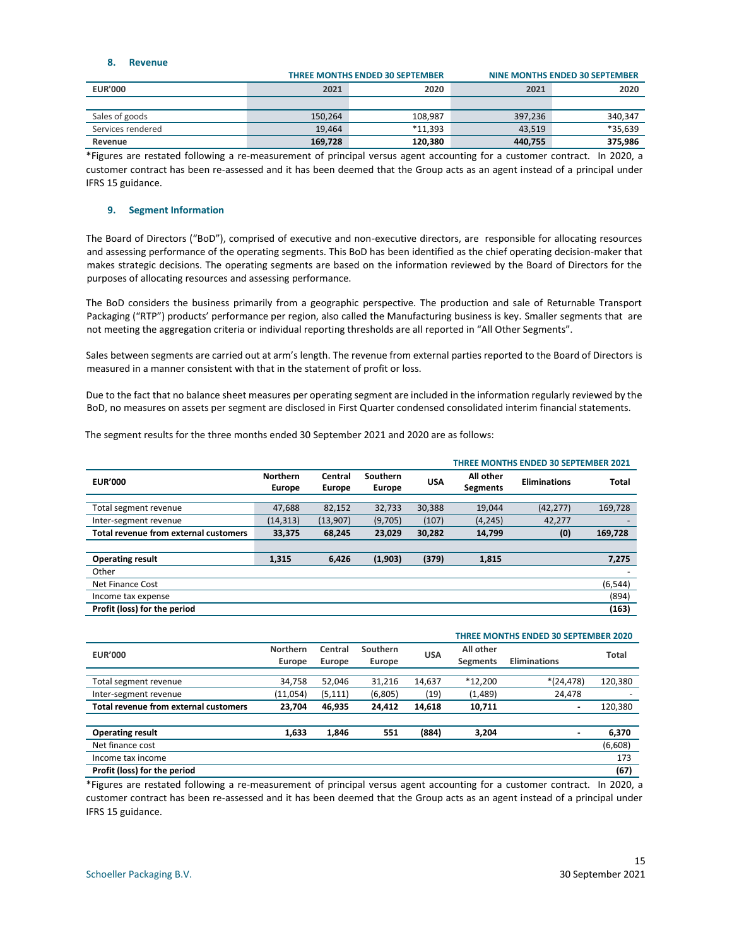#### **8. Revenue**

|                   |         | <b>THREE MONTHS ENDED 30 SEPTEMBER</b> | NINE MONTHS ENDED 30 SEPTEMBER |         |  |
|-------------------|---------|----------------------------------------|--------------------------------|---------|--|
| <b>EUR'000</b>    | 2021    | 2020                                   | 2021                           | 2020    |  |
|                   |         |                                        |                                |         |  |
| Sales of goods    | 150,264 | 108,987                                | 397,236                        | 340,347 |  |
| Services rendered | 19.464  | $*11.393$                              | 43.519                         | *35,639 |  |
| Revenue           | 169.728 | 120.380                                | 440,755                        | 375.986 |  |

\*Figures are restated following a re-measurement of principal versus agent accounting for a customer contract. In 2020, a customer contract has been re-assessed and it has been deemed that the Group acts as an agent instead of a principal under IFRS 15 guidance.

#### **9. Segment Information**

The Board of Directors ("BoD"), comprised of executive and non-executive directors, are responsible for allocating resources and assessing performance of the operating segments. This BoD has been identified as the chief operating decision-maker that makes strategic decisions. The operating segments are based on the information reviewed by the Board of Directors for the purposes of allocating resources and assessing performance.

The BoD considers the business primarily from a geographic perspective. The production and sale of Returnable Transport Packaging ("RTP") products' performance per region, also called the Manufacturing business is key. Smaller segments that are not meeting the aggregation criteria or individual reporting thresholds are all reported in "All Other Segments".

Sales between segments are carried out at arm's length. The revenue from external parties reported to the Board of Directors is measured in a manner consistent with that in the statement of profit or loss.

Due to the fact that no balance sheet measures per operating segment are included in the information regularly reviewed by the BoD, no measures on assets per segment are disclosed in First Quarter condensed consolidated interim financial statements.

The segment results for the three months ended 30 September 2021 and 2020 are as follows:

|                                       |                                  |                          |                           |            | <b>THREE MONTHS ENDED 30 SEPTEMBER 2021</b> |                     |                          |  |
|---------------------------------------|----------------------------------|--------------------------|---------------------------|------------|---------------------------------------------|---------------------|--------------------------|--|
| <b>EUR'000</b>                        | <b>Northern</b><br><b>Europe</b> | Central<br><b>Europe</b> | Southern<br><b>Europe</b> | <b>USA</b> | All other<br>Segments                       | <b>Eliminations</b> | <b>Total</b>             |  |
|                                       |                                  |                          |                           |            |                                             |                     |                          |  |
| Total segment revenue                 | 47,688                           | 82,152                   | 32,733                    | 30,388     | 19,044                                      | (42, 277)           | 169,728                  |  |
| Inter-segment revenue                 | (14, 313)                        | (13,907)                 | (9,705)                   | (107)      | (4, 245)                                    | 42,277              | $\overline{\phantom{0}}$ |  |
| Total revenue from external customers | 33,375                           | 68,245                   | 23,029                    | 30,282     | 14,799                                      | (0)                 | 169,728                  |  |
|                                       |                                  |                          |                           |            |                                             |                     |                          |  |
| <b>Operating result</b>               | 1,315                            | 6,426                    | (1,903)                   | (379)      | 1,815                                       |                     | 7,275                    |  |
| Other                                 |                                  |                          |                           |            |                                             |                     |                          |  |
| <b>Net Finance Cost</b>               |                                  |                          |                           |            |                                             |                     | (6, 544)                 |  |
| Income tax expense                    |                                  |                          |                           |            |                                             |                     | (894)                    |  |
| Profit (loss) for the period          |                                  |                          |                           |            |                                             |                     | (163)                    |  |

|                                       | <b>THREE MONTHS ENDED 30 SEPTEMBER 2020</b> |                   |                    |            |                              |                          |              |
|---------------------------------------|---------------------------------------------|-------------------|--------------------|------------|------------------------------|--------------------------|--------------|
| <b>EUR'000</b>                        | Northern<br>Europe                          | Central<br>Europe | Southern<br>Europe | <b>USA</b> | All other<br><b>Segments</b> | <b>Eliminations</b>      | <b>Total</b> |
| Total segment revenue                 | 34,758                                      | 52,046            | 31,216             | 14,637     | $*12,200$                    | $*(24, 478)$             | 120,380      |
| Inter-segment revenue                 | (11,054)                                    | (5, 111)          | (6,805)            | (19)       | (1,489)                      | 24,478                   |              |
| Total revenue from external customers | 23,704                                      | 46,935            | 24,412             | 14,618     | 10,711                       | $\overline{\phantom{a}}$ | 120,380      |
|                                       |                                             |                   |                    |            |                              |                          |              |
| <b>Operating result</b>               | 1,633                                       | 1,846             | 551                | (884)      | 3,204                        | $\qquad \qquad$          | 6,370        |
| Net finance cost                      |                                             |                   |                    |            |                              |                          | (6,608)      |
| Income tax income                     |                                             |                   |                    |            |                              |                          | 173          |
| Profit (loss) for the period          |                                             |                   |                    |            |                              |                          | (67)         |

\*Figures are restated following a re-measurement of principal versus agent accounting for a customer contract. In 2020, a customer contract has been re-assessed and it has been deemed that the Group acts as an agent instead of a principal under IFRS 15 guidance.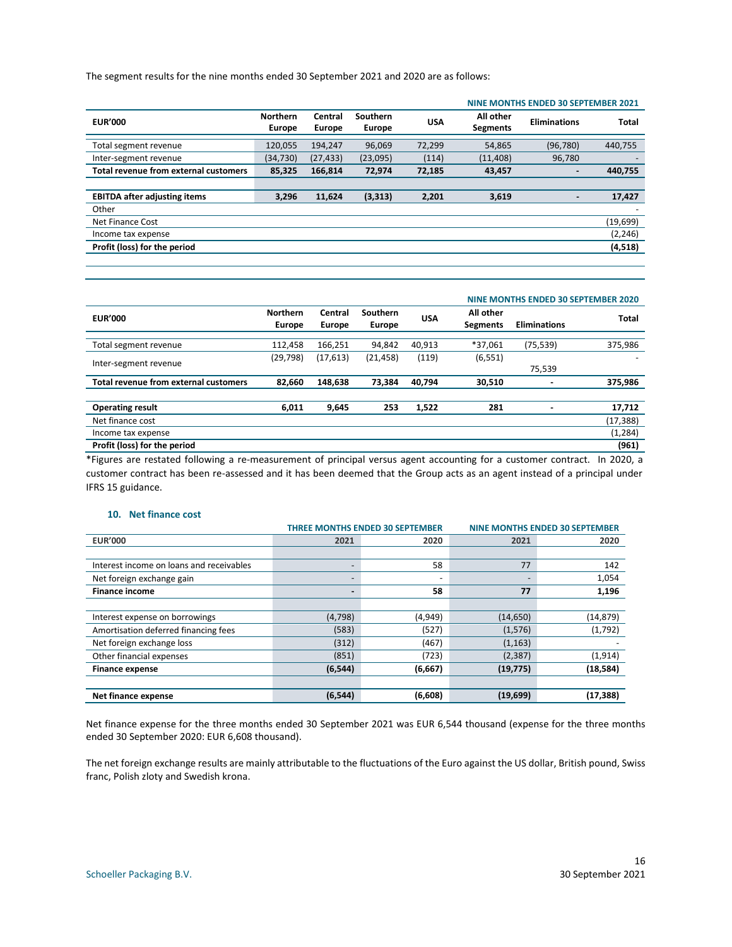The segment results for the nine months ended 30 September 2021 and 2020 are as follows:

|                                       |                                  |                   |                                  |            |                              | NINE MONTHS ENDED 30 SEPTEMBER 2021 |              |
|---------------------------------------|----------------------------------|-------------------|----------------------------------|------------|------------------------------|-------------------------------------|--------------|
| <b>EUR'000</b>                        | <b>Northern</b><br><b>Europe</b> | Central<br>Europe | <b>Southern</b><br><b>Europe</b> | <b>USA</b> | All other<br><b>Segments</b> | <b>Eliminations</b>                 | <b>Total</b> |
| Total segment revenue                 | 120,055                          | 194,247           | 96,069                           | 72,299     | 54,865                       | (96, 780)                           | 440,755      |
| Inter-segment revenue                 | (34,730)                         | (27, 433)         | (23,095)                         | (114)      | (11, 408)                    | 96,780                              |              |
| Total revenue from external customers | 85,325                           | 166,814           | 72,974                           | 72,185     | 43,457                       |                                     | 440,755      |
|                                       |                                  |                   |                                  |            |                              |                                     |              |
| <b>EBITDA after adjusting items</b>   | 3,296                            | 11,624            | (3, 313)                         | 2,201      | 3,619                        | $\blacksquare$                      | 17,427       |
| Other                                 |                                  |                   |                                  |            |                              |                                     |              |
| Net Finance Cost                      |                                  |                   |                                  |            |                              |                                     | (19, 699)    |
| Income tax expense                    |                                  |                   |                                  |            |                              |                                     | (2, 246)     |
| Profit (loss) for the period          |                                  |                   |                                  |            |                              |                                     | (4,518)      |
|                                       |                                  |                   |                                  |            |                              |                                     |              |

|                                       |                                  |                          |                           |            |                              | NINE MONTHS ENDED 30 SEPTEMBER 2020 |              |  |  |
|---------------------------------------|----------------------------------|--------------------------|---------------------------|------------|------------------------------|-------------------------------------|--------------|--|--|
| <b>EUR'000</b>                        | <b>Northern</b><br><b>Europe</b> | Central<br><b>Europe</b> | Southern<br><b>Europe</b> | <b>USA</b> | All other<br><b>Segments</b> | <b>Eliminations</b>                 | <b>Total</b> |  |  |
|                                       |                                  |                          |                           |            |                              |                                     |              |  |  |
| Total segment revenue                 | 112,458                          | 166,251                  | 94,842                    | 40,913     | *37,061                      | (75, 539)                           | 375,986      |  |  |
|                                       | (29, 798)                        | (17, 613)                | (21, 458)                 | (119)      | (6, 551)                     |                                     |              |  |  |
| Inter-segment revenue                 |                                  |                          |                           |            |                              | 75,539                              |              |  |  |
| Total revenue from external customers | 82.660                           | 148,638                  | 73.384                    | 40,794     | 30,510                       |                                     | 375,986      |  |  |
|                                       |                                  |                          |                           |            |                              |                                     |              |  |  |
| <b>Operating result</b>               | 6,011                            | 9,645                    | 253                       | 1,522      | 281                          |                                     | 17,712       |  |  |
| Net finance cost                      |                                  |                          |                           |            |                              |                                     | (17, 388)    |  |  |
| Income tax expense                    |                                  |                          |                           |            |                              |                                     | (1, 284)     |  |  |
| Profit (loss) for the period          |                                  |                          |                           |            |                              |                                     | (961)        |  |  |

\*Figures are restated following a re-measurement of principal versus agent accounting for a customer contract. In 2020, a customer contract has been re-assessed and it has been deemed that the Group acts as an agent instead of a principal under IFRS 15 guidance.

#### **10. Net finance cost**

|                                          |          | <b>THREE MONTHS ENDED 30 SEPTEMBER</b> | <b>NINE MONTHS ENDED 30 SEPTEMBER</b> |           |  |
|------------------------------------------|----------|----------------------------------------|---------------------------------------|-----------|--|
| <b>EUR'000</b>                           | 2021     | 2020                                   | 2021                                  | 2020      |  |
|                                          |          |                                        |                                       |           |  |
| Interest income on loans and receivables |          | 58                                     | 77                                    | 142       |  |
| Net foreign exchange gain                |          |                                        |                                       | 1,054     |  |
| <b>Finance income</b>                    |          | 58                                     | 77                                    | 1,196     |  |
|                                          |          |                                        |                                       |           |  |
| Interest expense on borrowings           | (4,798)  | (4,949)                                | (14, 650)                             | (14, 879) |  |
| Amortisation deferred financing fees     | (583)    | (527)                                  | (1, 576)                              | (1,792)   |  |
| Net foreign exchange loss                | (312)    | (467)                                  | (1, 163)                              |           |  |
| Other financial expenses                 | (851)    | (723)                                  | (2, 387)                              | (1, 914)  |  |
| <b>Finance expense</b>                   | (6, 544) | (6, 667)                               | (19, 775)                             | (18, 584) |  |
|                                          |          |                                        |                                       |           |  |
| Net finance expense                      | (6, 544) | (6,608)                                | (19,699)                              | (17, 388) |  |

Net finance expense for the three months ended 30 September 2021 was EUR 6,544 thousand (expense for the three months ended 30 September 2020: EUR 6,608 thousand).

The net foreign exchange results are mainly attributable to the fluctuations of the Euro against the US dollar, British pound, Swiss franc, Polish zloty and Swedish krona.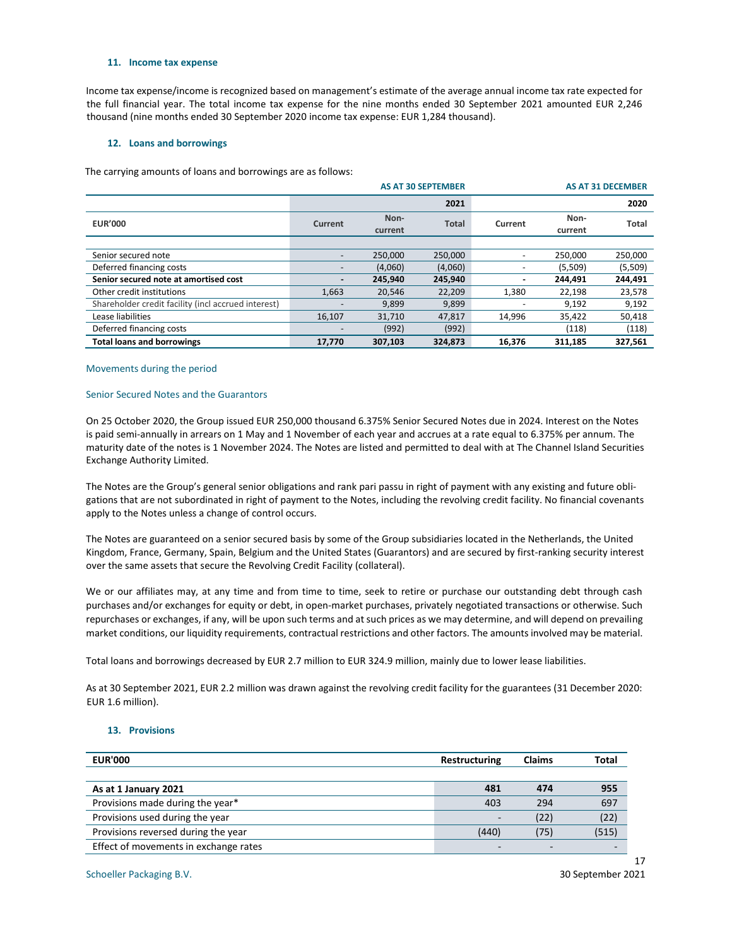#### **11. Income tax expense**

Income tax expense/income is recognized based on management's estimate of the average annual income tax rate expected for the full financial year. The total income tax expense for the nine months ended 30 September 2021 amounted EUR 2,246 thousand (nine months ended 30 September 2020 income tax expense: EUR 1,284 thousand).

#### **12. Loans and borrowings**

The carrying amounts of loans and borrowings are as follows:

|                                                     |         |                 | <b>AS AT 30 SEPTEMBER</b> | <b>AS AT 31 DECEMBER</b>   |         |              |
|-----------------------------------------------------|---------|-----------------|---------------------------|----------------------------|---------|--------------|
|                                                     | 2021    |                 |                           | 2020                       |         |              |
| <b>EUR'000</b>                                      | Current | Non-<br>current | <b>Total</b>              | Non-<br>Current<br>current |         | <b>Total</b> |
|                                                     |         |                 |                           |                            |         |              |
| Senior secured note                                 |         | 250.000         | 250,000                   |                            | 250.000 | 250,000      |
| Deferred financing costs                            |         | (4,060)         | (4,060)                   |                            | (5,509) | (5,509)      |
| Senior secured note at amortised cost               |         | 245,940         | 245,940                   |                            | 244,491 | 244,491      |
| Other credit institutions                           | 1,663   | 20.546          | 22,209                    | 1,380                      | 22,198  | 23,578       |
| Shareholder credit facility (incl accrued interest) |         | 9,899           | 9,899                     |                            | 9,192   | 9,192        |
| Lease liabilities                                   | 16,107  | 31,710          | 47,817                    | 14,996                     | 35,422  | 50,418       |
| Deferred financing costs                            |         | (992)           | (992)                     |                            | (118)   | (118)        |
| <b>Total loans and borrowings</b>                   | 17,770  | 307,103         | 324,873                   | 16,376                     | 311,185 | 327,561      |

#### Movements during the period

#### Senior Secured Notes and the Guarantors

On 25 October 2020, the Group issued EUR 250,000 thousand 6.375% Senior Secured Notes due in 2024. Interest on the Notes is paid semi-annually in arrears on 1 May and 1 November of each year and accrues at a rate equal to 6.375% per annum. The maturity date of the notes is 1 November 2024. The Notes are listed and permitted to deal with at The Channel Island Securities Exchange Authority Limited.

The Notes are the Group's general senior obligations and rank pari passu in right of payment with any existing and future obligations that are not subordinated in right of payment to the Notes, including the revolving credit facility. No financial covenants apply to the Notes unless a change of control occurs.

The Notes are guaranteed on a senior secured basis by some of the Group subsidiaries located in the Netherlands, the United Kingdom, France, Germany, Spain, Belgium and the United States (Guarantors) and are secured by first-ranking security interest over the same assets that secure the Revolving Credit Facility (collateral).

We or our affiliates may, at any time and from time to time, seek to retire or purchase our outstanding debt through cash purchases and/or exchanges for equity or debt, in open-market purchases, privately negotiated transactions or otherwise. Such repurchases or exchanges, if any, will be upon such terms and at such prices as we may determine, and will depend on prevailing market conditions, our liquidity requirements, contractual restrictions and other factors. The amounts involved may be material.

Total loans and borrowings decreased by EUR 2.7 million to EUR 324.9 million, mainly due to lower lease liabilities.

As at 30 September 2021, EUR 2.2 million was drawn against the revolving credit facility for the guarantees (31 December 2020: EUR 1.6 million).

#### **13. Provisions**

| <b>EUR'000</b>                        | Restructuring            | <b>Claims</b> | Total |
|---------------------------------------|--------------------------|---------------|-------|
|                                       |                          |               |       |
| As at 1 January 2021                  | 481                      | 474           | 955   |
| Provisions made during the year*      | 403                      | 294           | 697   |
| Provisions used during the year       | $\overline{\phantom{0}}$ | (22)          | (22)  |
| Provisions reversed during the year   | (440)                    | (75)          | (515) |
| Effect of movements in exchange rates |                          |               |       |

Schoeller Packaging B.V. 30 September 2021

17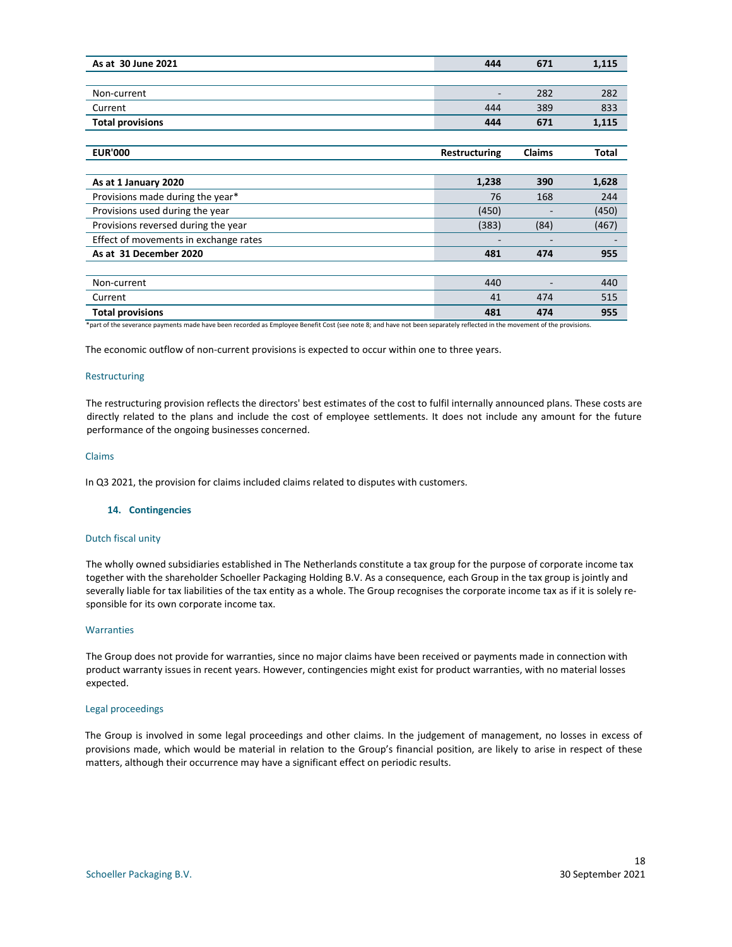| As at 30 June 2021                    | 444                  | 671    | 1,115 |
|---------------------------------------|----------------------|--------|-------|
|                                       |                      |        |       |
| Non-current                           | ٠                    | 282    | 282   |
| Current                               | 444                  | 389    | 833   |
| <b>Total provisions</b>               | 444                  | 671    | 1,115 |
|                                       |                      |        |       |
| <b>EUR'000</b>                        | <b>Restructuring</b> | Claims | Total |
|                                       |                      |        |       |
| As at 1 January 2020                  | 1,238                | 390    | 1,628 |
| Provisions made during the year*      | 76                   | 168    | 244   |
| Provisions used during the year       | (450)                |        | (450) |
| Provisions reversed during the year   | (383)                | (84)   | (467) |
| Effect of movements in exchange rates | ٠                    | -      |       |
| As at 31 December 2020                | 481                  | 474    | 955   |
|                                       |                      |        |       |
| Non-current                           | 440                  |        | 440   |
| Current                               | 41                   | 474    | 515   |
| <b>Total provisions</b>               | 481                  | 474    | 955   |

\*part of the severance payments made have been recorded as Employee Benefit Cost (see note 8; and have not been separately reflected in the movement of the provisions.

The economic outflow of non-current provisions is expected to occur within one to three years.

#### Restructuring

The restructuring provision reflects the directors' best estimates of the cost to fulfil internally announced plans. These costs are directly related to the plans and include the cost of employee settlements. It does not include any amount for the future performance of the ongoing businesses concerned.

#### Claims

In Q3 2021, the provision for claims included claims related to disputes with customers.

#### **14. Contingencies**

#### Dutch fiscal unity

The wholly owned subsidiaries established in The Netherlands constitute a tax group for the purpose of corporate income tax together with the shareholder Schoeller Packaging Holding B.V. As a consequence, each Group in the tax group is jointly and severally liable for tax liabilities of the tax entity as a whole. The Group recognises the corporate income tax as if it is solely responsible for its own corporate income tax.

#### **Warranties**

The Group does not provide for warranties, since no major claims have been received or payments made in connection with product warranty issues in recent years. However, contingencies might exist for product warranties, with no material losses expected.

#### Legal proceedings

The Group is involved in some legal proceedings and other claims. In the judgement of management, no losses in excess of provisions made, which would be material in relation to the Group's financial position, are likely to arise in respect of these matters, although their occurrence may have a significant effect on periodic results.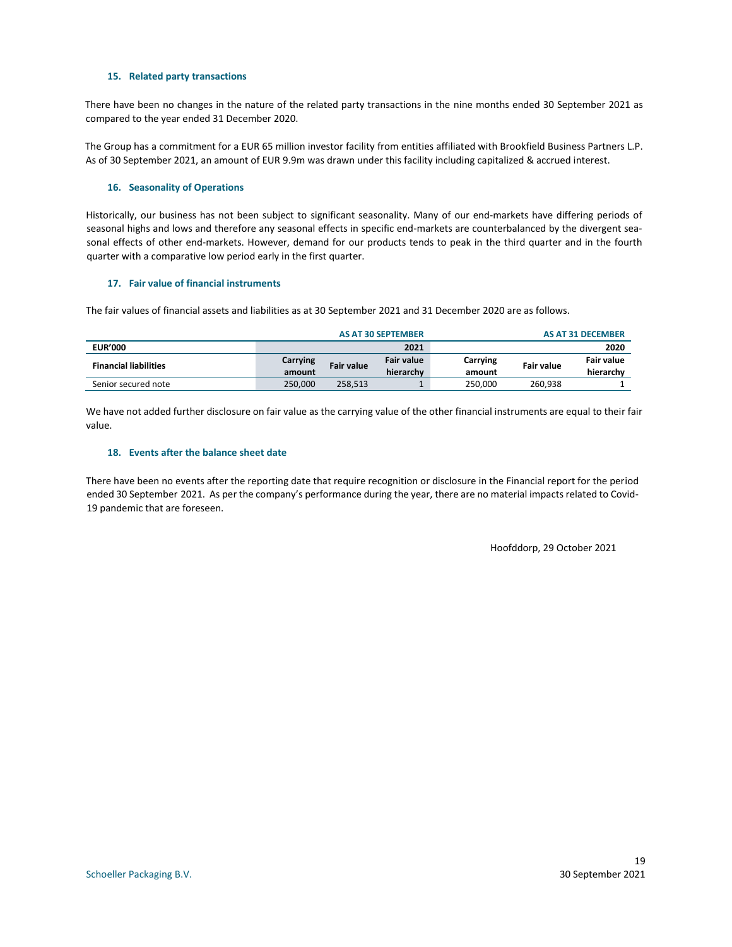#### **15. Related party transactions**

There have been no changes in the nature of the related party transactions in the nine months ended 30 September 2021 as compared to the year ended 31 December 2020.

The Group has a commitment for a EUR 65 million investor facility from entities affiliated with Brookfield Business Partners L.P. As of 30 September 2021, an amount of EUR 9.9m was drawn under this facility including capitalized & accrued interest.

#### **16. Seasonality of Operations**

Historically, our business has not been subject to significant seasonality. Many of our end-markets have differing periods of seasonal highs and lows and therefore any seasonal effects in specific end-markets are counterbalanced by the divergent seasonal effects of other end-markets. However, demand for our products tends to peak in the third quarter and in the fourth quarter with a comparative low period early in the first quarter.

#### **17. Fair value of financial instruments**

The fair values of financial assets and liabilities as at 30 September 2021 and 31 December 2020 are as follows.

|                              | <b>AS AT 30 SEPTEMBER</b> |                   |                                | <b>AS AT 31 DECEMBER</b> |            |                                |
|------------------------------|---------------------------|-------------------|--------------------------------|--------------------------|------------|--------------------------------|
| <b>EUR'000</b>               |                           |                   | 2021                           |                          |            | 2020                           |
| <b>Financial liabilities</b> | Carrying<br>amount        | <b>Fair value</b> | <b>Fair value</b><br>hierarchy | Carrying<br>amount       | Fair value | <b>Fair value</b><br>hierarchy |
| Senior secured note          | 250.000                   | 258.513           |                                | 250.000                  | 260.938    |                                |

We have not added further disclosure on fair value as the carrying value of the other financial instruments are equal to their fair value.

#### **18. Events after the balance sheet date**

There have been no events after the reporting date that require recognition or disclosure in the Financial report for the period ended 30 September 2021. As per the company's performance during the year, there are no material impacts related to Covid-19 pandemic that are foreseen.

Hoofddorp, 29 October 2021